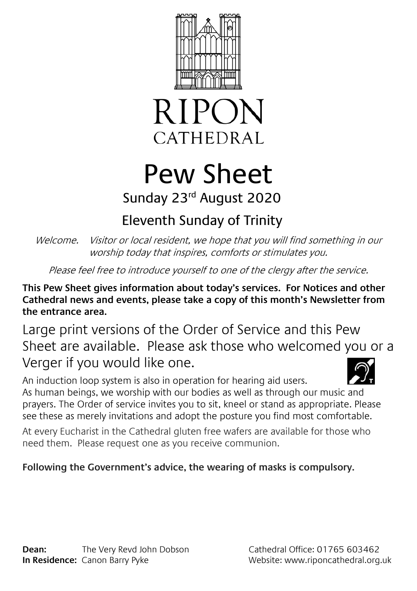



# Pew Sheet Sunday 23rd August 2020

## Eleventh Sunday of Trinity

Welcome. Visitor or local resident, we hope that you will find something in our worship today that inspires, comforts or stimulates you.

Please feel free to introduce yourself to one of the clergy after the service.

**This Pew Sheet gives information about today's services. For Notices and other Cathedral news and events, please take a copy of this month's Newsletter from the entrance area.** 

Large print versions of the Order of Service and this Pew Sheet are available. Please ask those who welcomed you or a Verger if you would like one.

An induction loop system is also in operation for hearing aid users. As human beings, we worship with our bodies as well as through our music and prayers. The Order of service invites you to sit, kneel or stand as appropriate. Please see these as merely invitations and adopt the posture you find most comfortable.

At every Eucharist in the Cathedral gluten free wafers are available for those who need them. Please request one as you receive communion.

#### **Following the Government's advice, the wearing of masks is compulsory.**